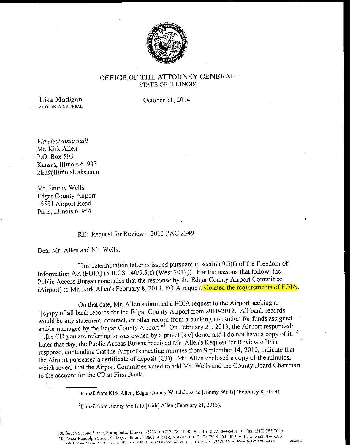

## **OFFICE OF THE ATTORNEY GENERAL**  STATE OF ILLINOlS

**Lisa Madigan** A'l~l'ORNEY **GENERAL**  October 31, 2014

*Via electronic mail*  Mr. Kirk Allen P.O. Box 593 Kansas, Illinois 61933 kirk@illinoisleaks.com

Mr. Jimmy Wells Edgar County Airport 15551 Airport Road Paris, Illinois 61944

## RE: Request for Review - 2013 PAC 23491

Dear Mr. Allen and Mr. Wells:

This determination letter is issued pursuant to section 9.S(f) of the Freedom of Information Act (FOIA) (5 ILCS 140/9.S(f) (West 2012)). For the reasons that follow, the Public Access Bureau concludes that the response by the Edgar County Airport Committee (Airport) to Mr. Kirk Allen's February 8, 2013, FOIA request violated the requirements of FOIA.

 $\ddot{\cdot}$ 

On that date, Mr. Allen submitted a FOIA request to the Airport seeking a: "[c]opy of all bank records for the Edgar County Airport from 2010-2012. All bank records would be any statement, contract, or other record from a banking institution for funds assigned and/or managed by the Edgar County Airport."<sup>1</sup> On February 21, 2013, the Airport responded: "It the CD you are referring to was owned by a privet [sic] donor and I do not have a copy of it."<sup>2</sup> Later that day, the Public Access Bureau received Mr. Allen's Request for Review of that response, contending that the Airport's meeting minutes from September **14,** 2010, indicate that the Airport possessed a certificate of deposit (CD). Mr. Allen enclosed a copy of the minutes, which reveal that the Airport Committee voted to add Mr. Wells and the County Board Chairman to the account for the CD at First Bank.

'E-mail from Kirk Allen, Edgar County Watchdogs, to [Jimmy Wells] (February 8, 2013).

 $E$ -mail from Jimmy Wells to [Kirk] Allen (February 21, 2013).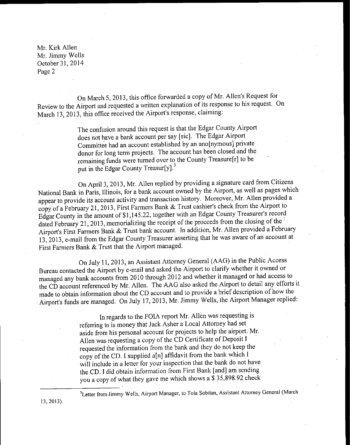On March 5, 2013, this office forwarded a copy of Mr. Allen's Request for Review to the Airport and requested a written explanation of its response to his request. On March 13, 2013, this office received the Airport's response, claiming:

> The confusion around this request is that the Edgar County Airport does not have a bank account per say [sic]. The Edgar Airport Committee had an account established by an ano[nymous] private donor for Jong term projects. The account has been closed and the remaining funds were turned over to the County Treasure[r] to be put in the Edgar County Treasur[y].<sup>3</sup>

On April 3, 2013, Mr. Allen replied by providing a signature card from Citizens National Bank in Paris, Illinois, for a bank account owned by the Airport, as well as pages which appear to provide its account activity and transaction history. Moreover, Mr. Allen provided a copy ofa February 21, 2013, First Farmers Bank & Trust cashier's check from the Airport to Edgar County in the amount of\$1,145.22, together with an Edgar County Treasurer's record dated February 21, 2013, memorializing the receipt of the proceeds from the closing of the i Airport's First Farmers Bank & Trust bank account. In addition, Mr. Allen provided a February 13, 2013, e-mail from the Edgar County Treasurer asserting that he was aware of an account at First Farmers Bank & Trust that the Airport managed.

On July 11, 2013, an Assistant Attorney General (AAG) in the Public Access Bureau contacted the Airport by e-mail and asked the Airport to clarify whether it owned or managed any bank accounts from 2010 through 2012 and whether it managed or had access to the CD account referenced by Mr. Allen. The AAG also asked the Airport to detail any efforts it made to obtain information about the CD account and to provide a brief description of how the Airport's funds are managed. On July 17, 2013, Mr. Jimmy Wells, the Airport Manager replied:

> In regards to the FOIA report Mr. Allen was requesting is referring to is money that Jack Asher a Local Attorney had set aside from his personal account for projects to help the airport. Mr. Allen was requesting a copy of the CD Certificate of Deposit I requested the information from the bank and they do not keep the copy of the CD. I supplied a[n] affidavit from the bank which I will include in a letter for your inspection that the bank do not have the CD. I did obtain information from First Bank [and] am sending you a copy of what they gave me which shows a  $\frac{1}{5}$  35,898.92 check

<sup>3</sup>Letter from Jimmy Wells, Airport Manager, to Tola Sobitan, Assistant Attorney General (March

13, 2013).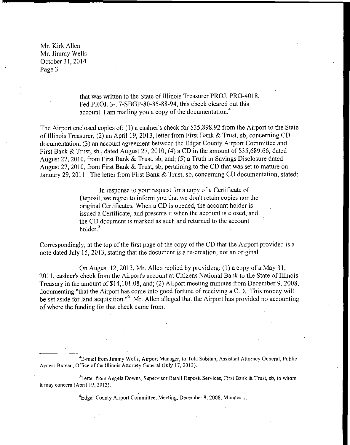> that was written to the State of Illinois Treasurer PROJ. PRG-4018. Fed PROJ. 3-17-SBGP-80-85-88-94, this check cleared out this account. I am mailing you a copy of the documentation. <sup>4</sup>

The Airport enclosed copies of: (1) a cashier's check for \$35,898.92 from the Airport to the State of Illinois Treasurer; (2) an April 19, 2013, letter from First Bank & Trust, sb, concerning CD documentation; (3) an account agreement between the Edgar County Airport Committee and First Bank & Trust, sb., dated August 27, 2010; (4) a CD in the amount of \$35,689.66, dated August 27, 2010, from First Bank & Trust, sb, and; (5) a Truth in Savings Disclosure dated August 27, 2010, from First Bank & Trust, sb, pertaining to the CD that was set to mature on January 29, 2011. The letter from First Bank & Trust, sb, concerning CD documentation, stated:

> In response to your request for a copy of a Certificate of Deposit, we regret to inform you that we don't retain copies nor the original Certificates. When a CD is opened, the account holder is issued a Certificate, and presents it when the account is closed, and the CD document is marked as such and returned to the account holder.<sup>5</sup>

Correspondingly, at the top of the first page of the copy of the CD that the Airport provided is a note dated July 15, 2013, stating that the document is a re-creation, not an original.

On August 12, 2013, Mr. Allen replied by providing: (1) a copy of a May 31, 2011, cashier's check from the Airport's account at Citizens National Bank to the State of Illinois Treasury in the amount of \$14, 101.08, and; (2) Airport meeting minutes from December 9, 2008, documenting "that the Airport has come into good fortune of receiving a C.D. This money will be set aside for land acquisition."<sup>6</sup> Mr. Allen alleged that the Airport has provided no accounting of where the funding for that check came from.

'E-mail from Jimmy Wells, Airport Manager, to Tola Sobitan, Assistant Attorney General, Public Access Bureau, Office of the Illinois Attorney General (July 17, 2013).

<sup>5</sup> Letter from Angela Downs, Supervisor Retail Deposit Services, First Bank & Trust, sb, to whom it may concern (April 19, 2013).

'Edgar County Airport Committee, Meeting, December 9, 2008, Minutes I.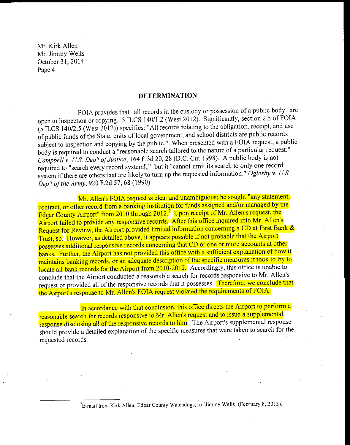## **DETERMINATION**

FOIA provides that "all records in the custody or possession of a public body" are open to inspection or copying. 5 ILCS 140/1.2 (West 2012). Significantly, section 2.5 of FOIA (5 ILCS 140/2.5 (West 2012)) specifies: "All records relating to the obligation, receipt, and use of public funds of the State, units of local government, and school districts are public records subject to inspection and copying by the public." When presented with a FOIA request, a public body is required to conduct a "reasonable search tailored to the nature of a particular request." *Campbell v. U.S. Dep't of Justice,* 164 F.3d 20, 28 (D.C. Cir. 1998). A public body is not required to "search every record system[,]" but it "cannot limit its search to only one record system if there are others that are likely to turn up the requested information." *Oglesby v. U.S. Dep't of the Army,* 920 F.2d 57, 68 (1990).

Mr. Allen's FOIA request is clear and unambiguous; he sought "any statement, contract, or other record from a banking institution for funds assigned and/or managed by the Edgar County Airport" from 2010 through 2012.<sup>7</sup> Upon receipt of Mr. Allen's request, the Airport failed to provide any responsive records. After this office inquired into Mr. Allen's Request for Review, the Airport provided limited information concerning a CD at First Bank & Trust, sb. However, as detailed above, it appears possible if not probable that the Airport possesses additional responsive records concerning that CD or one or more accounts at other banks. Further, the Airport has not provided this office with a sufficient explanation of how it maintains banking records, or an adequate description of the specific measures it took to try to locate all bank records for the Airport from 2010-2012. Accordingly, this office is unable to conclude that the Airport conducted a reasonable search for records responsive to Mr. Allen's request or provided all of the responsive records that it possesses. Therefore, we conclude that the Airport's response to Mr. Allen's FOIA request violated the requirements of FOIA.

In accordance with that conclusion, this office directs the Airport to perform a reasonable search for records responsive to Mr. Allen's request and to issue a supplemental response disclosing all of the responsive records to him. The Airport's supplemental response should provide a detailed explanation of the specific measures that were taken to search for the requested records.